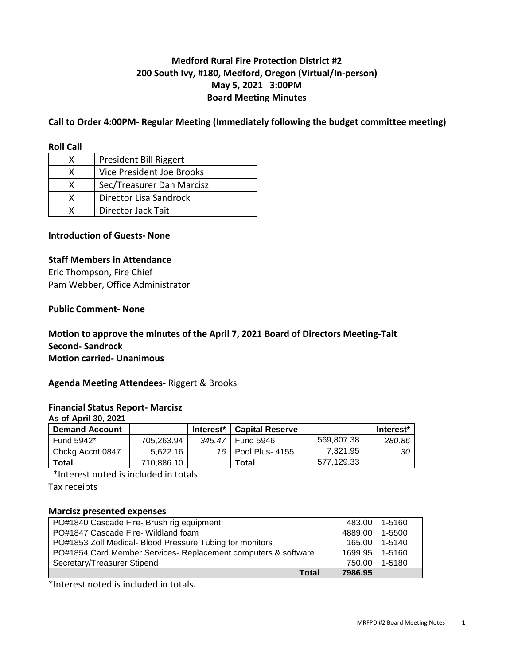# **Medford Rural Fire Protection District #2 200 South Ivy, #180, Medford, Oregon (Virtual/In-person) May 5, 2021 3:00PM Board Meeting Minutes**

## **Call to Order 4:00PM- Regular Meeting (Immediately following the budget committee meeting)**

#### **Roll Call**

| x | President Bill Riggert    |
|---|---------------------------|
| x | Vice President Joe Brooks |
| x | Sec/Treasurer Dan Marcisz |
| x | Director Lisa Sandrock    |
|   | Director Jack Tait        |

## **Introduction of Guests- None**

## **Staff Members in Attendance**

Eric Thompson, Fire Chief Pam Webber, Office Administrator

#### **Public Comment- None**

# **Motion to approve the minutes of the April 7, 2021 Board of Directors Meeting-Tait Second- Sandrock Motion carried- Unanimous**

**Agenda Meeting Attendees-** Riggert & Brooks

## **Financial Status Report- Marcisz**

**As of April 30, 2021** 

| <b>Demand Account</b> |            | Interest* | l Capital Reserve     |            | Interest* |
|-----------------------|------------|-----------|-----------------------|------------|-----------|
| Fund 5942*            | 705.263.94 |           | 345.47 Fund 5946      | 569.807.38 | 280.86    |
| Chckg Accnt 0847      | 5.622.16   |           | .16   Pool Plus- 4155 | 7.321.95   | .30       |
| <b>Total</b>          | 710.886.10 |           | Total                 | 577.129.33 |           |

\*Interest noted is included in totals.

Tax receipts

#### **Marcisz presented expenses**

| Total                                                          | 7986.95 |        |
|----------------------------------------------------------------|---------|--------|
| Secretary/Treasurer Stipend                                    | 750.00  | 1-5180 |
| PO#1854 Card Member Services- Replacement computers & software | 1699.95 | 1-5160 |
| PO#1853 Zoll Medical- Blood Pressure Tubing for monitors       | 165.00  | 1-5140 |
| PO#1847 Cascade Fire- Wildland foam                            | 4889.00 | 1-5500 |
| PO#1840 Cascade Fire- Brush rig equipment                      | 483.00  | 1-5160 |

\*Interest noted is included in totals.